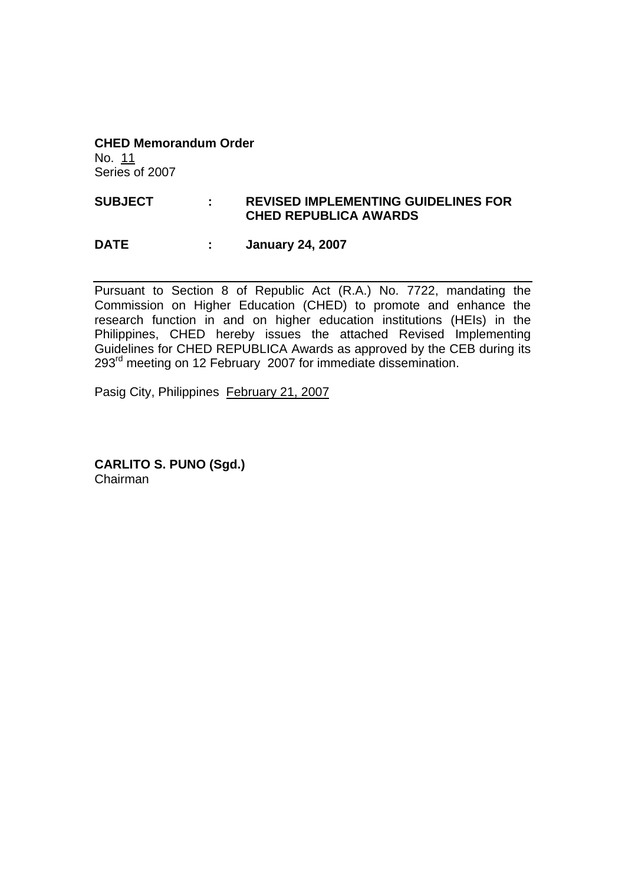**CHED Memorandum Order**  No. 11 Series of 2007

# **SUBJECT : REVISED IMPLEMENTING GUIDELINES FOR CHED REPUBLICA AWARDS**

#### **DATE : January 24, 2007**

Pursuant to Section 8 of Republic Act (R.A.) No. 7722, mandating the Commission on Higher Education (CHED) to promote and enhance the research function in and on higher education institutions (HEIs) in the Philippines, CHED hereby issues the attached Revised Implementing Guidelines for CHED REPUBLICA Awards as approved by the CEB during its 293<sup>rd</sup> meeting on 12 February 2007 for immediate dissemination.

Pasig City, Philippines February 21, 2007

**CARLITO S. PUNO (Sgd.)**  Chairman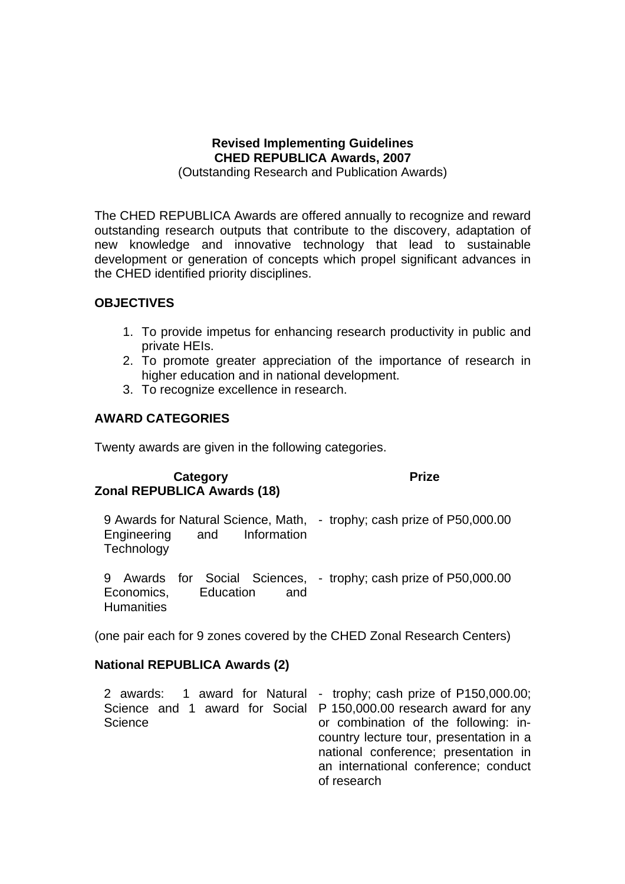# **Revised Implementing Guidelines CHED REPUBLICA Awards, 2007**

(Outstanding Research and Publication Awards)

The CHED REPUBLICA Awards are offered annually to recognize and reward outstanding research outputs that contribute to the discovery, adaptation of new knowledge and innovative technology that lead to sustainable development or generation of concepts which propel significant advances in the CHED identified priority disciplines.

### **OBJECTIVES**

- 1. To provide impetus for enhancing research productivity in public and private HEIs.
- 2. To promote greater appreciation of the importance of research in higher education and in national development.
- 3. To recognize excellence in research.

## **AWARD CATEGORIES**

Twenty awards are given in the following categories.

#### **Category Prize Zonal REPUBLICA Awards (18)**

9 Awards for Natural Science, Math, - trophy; cash prize of P50,000.00 Engineering and Information **Technology** 

9 Awards for Social Sciences, - trophy; cash prize of P50,000.00 Economics, Education and **Humanities** 

(one pair each for 9 zones covered by the CHED Zonal Research Centers)

#### **National REPUBLICA Awards (2)**

|         | 2 awards: 1 award for Natural - trophy; cash prize of P150,000.00; |
|---------|--------------------------------------------------------------------|
|         | Science and 1 award for Social P 150,000.00 research award for any |
| Science | or combination of the following: in-                               |
|         | country lecture tour, presentation in a                            |
|         | national conference; presentation in                               |
|         | an international conference; conduct                               |
|         | of research                                                        |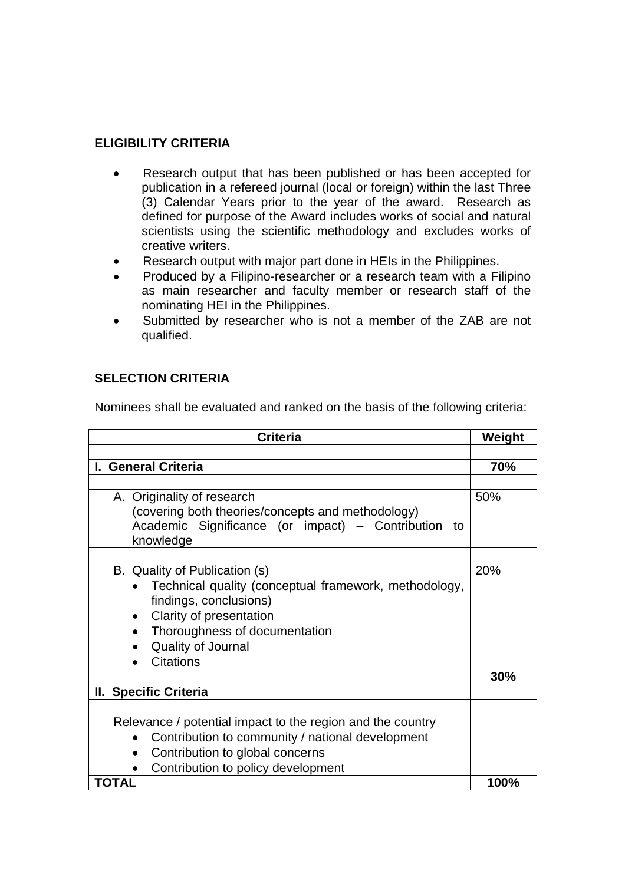## **ELIGIBILITY CRITERIA**

- Research output that has been published or has been accepted for publication in a refereed journal (local or foreign) within the last Three (3) Calendar Years prior to the year of the award. Research as defined for purpose of the Award includes works of social and natural scientists using the scientific methodology and excludes works of creative writers.
- Research output with major part done in HEIs in the Philippines.
- Produced by a Filipino-researcher or a research team with a Filipino as main researcher and faculty member or research staff of the nominating HEI in the Philippines.
- Submitted by researcher who is not a member of the ZAB are not qualified.

### **SELECTION CRITERIA**

Nominees shall be evaluated and ranked on the basis of the following criteria:

| <b>Criteria</b>                                                                                                                                                                                                                     |      |
|-------------------------------------------------------------------------------------------------------------------------------------------------------------------------------------------------------------------------------------|------|
|                                                                                                                                                                                                                                     |      |
| I. General Criteria                                                                                                                                                                                                                 | 70%  |
|                                                                                                                                                                                                                                     |      |
| A. Originality of research<br>(covering both theories/concepts and methodology)<br>Academic Significance (or impact) - Contribution to<br>knowledge                                                                                 | 50%  |
|                                                                                                                                                                                                                                     |      |
| B. Quality of Publication (s)<br>Technical quality (conceptual framework, methodology,<br>findings, conclusions)<br>Clarity of presentation<br>$\bullet$<br>Thoroughness of documentation<br>Quality of Journal<br><b>Citations</b> | 20%  |
|                                                                                                                                                                                                                                     | 30%  |
| II. Specific Criteria                                                                                                                                                                                                               |      |
|                                                                                                                                                                                                                                     |      |
| Relevance / potential impact to the region and the country<br>Contribution to community / national development<br>$\bullet$<br>Contribution to global concerns<br>$\bullet$<br>Contribution to policy development                   |      |
| TOTAL                                                                                                                                                                                                                               | 100% |